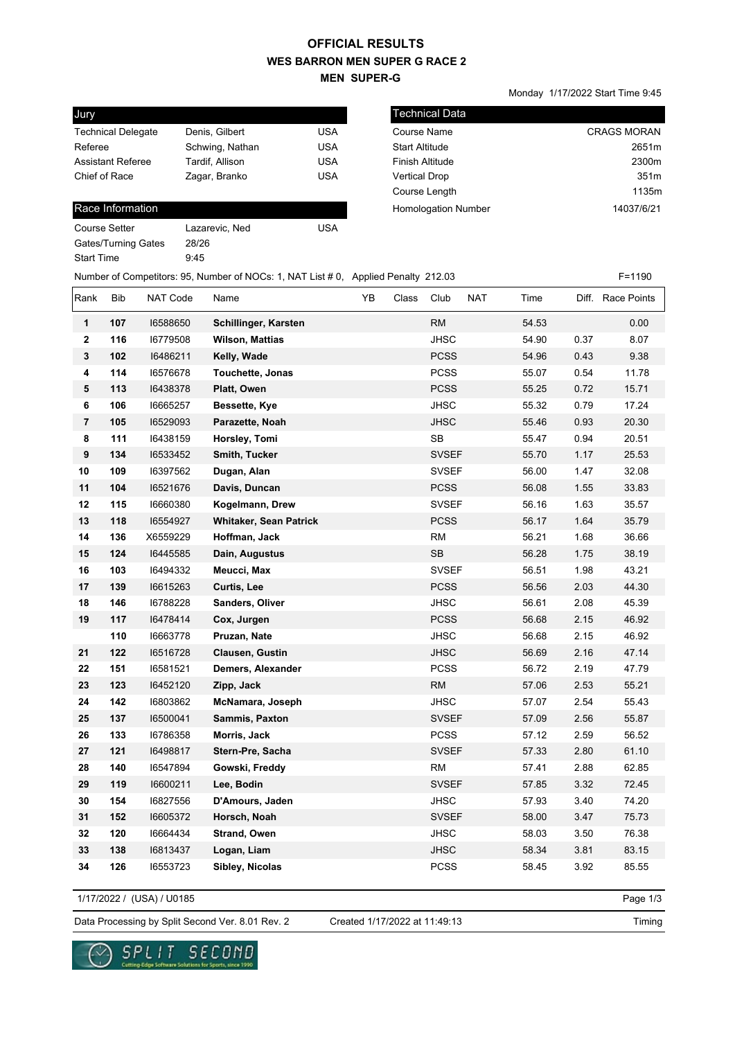### **WES BARRON MEN SUPER G RACE 2 MEN SUPER-G OFFICIAL RESULTS**

Monday 1/17/2022 Start Time 9:45

| Jury                      |                 |            |
|---------------------------|-----------------|------------|
| <b>Technical Delegate</b> | Denis, Gilbert  | USA        |
| Referee                   | Schwing, Nathan | <b>USA</b> |
| <b>Assistant Referee</b>  | Tardif, Allison | USA        |
| Chief of Race             | Zagar, Branko   | <b>USA</b> |
|                           |                 |            |

#### Race Information

| Course Setter       | Lazarevic, Ned | USA |
|---------------------|----------------|-----|
| Gates/Turning Gates | 28/26          |     |
| Start Time          | 9:45           |     |
|                     |                |     |

| <b>Technical Data</b>      |                    |
|----------------------------|--------------------|
| Course Name                | <b>CRAGS MORAN</b> |
| <b>Start Altitude</b>      | 2651m              |
| <b>Finish Altitude</b>     | 2300m              |
| <b>Vertical Drop</b>       | 351m               |
| Course Length              | 1135m              |
| <b>Homologation Number</b> | 14037/6/21         |
|                            |                    |

### Number of Competitors: 95, Number of NOCs: 1, NAT List # 0, Applied Penalty 212.03 F=1190

| Rank                    | <b>Bib</b> | <b>NAT Code</b> | Name                    | YB | Class | Club         | <b>NAT</b> | Time  |      | Diff. Race Points |
|-------------------------|------------|-----------------|-------------------------|----|-------|--------------|------------|-------|------|-------------------|
| 1                       | 107        | 16588650        | Schillinger, Karsten    |    |       | <b>RM</b>    |            | 54.53 |      | 0.00              |
| $\mathbf{2}$            | 116        | 16779508        | <b>Wilson, Mattias</b>  |    |       | <b>JHSC</b>  |            | 54.90 | 0.37 | 8.07              |
| 3                       | 102        | 16486211        | Kelly, Wade             |    |       | <b>PCSS</b>  |            | 54.96 | 0.43 | 9.38              |
| 4                       | 114        | 16576678        | <b>Touchette, Jonas</b> |    |       | <b>PCSS</b>  |            | 55.07 | 0.54 | 11.78             |
| ${\bf 5}$               | 113        | 16438378        | Platt, Owen             |    |       | <b>PCSS</b>  |            | 55.25 | 0.72 | 15.71             |
| 6                       | 106        | 16665257        | Bessette, Kye           |    |       | <b>JHSC</b>  |            | 55.32 | 0.79 | 17.24             |
| $\overline{\mathbf{r}}$ | 105        | 16529093        | Parazette, Noah         |    |       | <b>JHSC</b>  |            | 55.46 | 0.93 | 20.30             |
| 8                       | 111        | 16438159        | Horsley, Tomi           |    |       | <b>SB</b>    |            | 55.47 | 0.94 | 20.51             |
| 9                       | 134        | 16533452        | Smith, Tucker           |    |       | <b>SVSEF</b> |            | 55.70 | 1.17 | 25.53             |
| 10                      | 109        | 16397562        | Dugan, Alan             |    |       | <b>SVSEF</b> |            | 56.00 | 1.47 | 32.08             |
| 11                      | 104        | 16521676        | Davis, Duncan           |    |       | <b>PCSS</b>  |            | 56.08 | 1.55 | 33.83             |
| 12                      | 115        | 16660380        | Kogelmann, Drew         |    |       | <b>SVSEF</b> |            | 56.16 | 1.63 | 35.57             |
| 13                      | 118        | 16554927        | Whitaker, Sean Patrick  |    |       | <b>PCSS</b>  |            | 56.17 | 1.64 | 35.79             |
| 14                      | 136        | X6559229        | Hoffman, Jack           |    |       | <b>RM</b>    |            | 56.21 | 1.68 | 36.66             |
| 15                      | 124        | 16445585        | Dain, Augustus          |    |       | <b>SB</b>    |            | 56.28 | 1.75 | 38.19             |
| 16                      | 103        | 16494332        | Meucci, Max             |    |       | <b>SVSEF</b> |            | 56.51 | 1.98 | 43.21             |
| 17                      | 139        | 16615263        | Curtis, Lee             |    |       | <b>PCSS</b>  |            | 56.56 | 2.03 | 44.30             |
| 18                      | 146        | 16788228        | Sanders, Oliver         |    |       | <b>JHSC</b>  |            | 56.61 | 2.08 | 45.39             |
| 19                      | 117        | 16478414        | Cox, Jurgen             |    |       | <b>PCSS</b>  |            | 56.68 | 2.15 | 46.92             |
|                         | 110        | 16663778        | Pruzan, Nate            |    |       | <b>JHSC</b>  |            | 56.68 | 2.15 | 46.92             |
| 21                      | 122        | 16516728        | <b>Clausen, Gustin</b>  |    |       | <b>JHSC</b>  |            | 56.69 | 2.16 | 47.14             |
| 22                      | 151        | 16581521        | Demers, Alexander       |    |       | <b>PCSS</b>  |            | 56.72 | 2.19 | 47.79             |
| 23                      | 123        | 16452120        | Zipp, Jack              |    |       | <b>RM</b>    |            | 57.06 | 2.53 | 55.21             |
| 24                      | 142        | 16803862        | McNamara, Joseph        |    |       | JHSC         |            | 57.07 | 2.54 | 55.43             |
| 25                      | 137        | 16500041        | Sammis, Paxton          |    |       | <b>SVSEF</b> |            | 57.09 | 2.56 | 55.87             |
| 26                      | 133        | 16786358        | Morris, Jack            |    |       | <b>PCSS</b>  |            | 57.12 | 2.59 | 56.52             |
| 27                      | 121        | 16498817        | Stern-Pre, Sacha        |    |       | <b>SVSEF</b> |            | 57.33 | 2.80 | 61.10             |
| 28                      | 140        | 16547894        | Gowski, Freddy          |    |       | <b>RM</b>    |            | 57.41 | 2.88 | 62.85             |
| 29                      | 119        | 16600211        | Lee, Bodin              |    |       | <b>SVSEF</b> |            | 57.85 | 3.32 | 72.45             |
| 30                      | 154        | 16827556        | D'Amours, Jaden         |    |       | <b>JHSC</b>  |            | 57.93 | 3.40 | 74.20             |
| 31                      | 152        | 16605372        | Horsch, Noah            |    |       | <b>SVSEF</b> |            | 58.00 | 3.47 | 75.73             |
| 32                      | 120        | 16664434        | <b>Strand, Owen</b>     |    |       | <b>JHSC</b>  |            | 58.03 | 3.50 | 76.38             |
| 33                      | 138        | 16813437        | Logan, Liam             |    |       | <b>JHSC</b>  |            | 58.34 | 3.81 | 83.15             |
| 34                      | 126        | 16553723        | Sibley, Nicolas         |    |       | <b>PCSS</b>  |            | 58.45 | 3.92 | 85.55             |

1/17/2022 / (USA) / U0185

Page 1/3

Data Processing by Split Second Ver. 8.01 Rev. 2 Created 1/17/2022 at 11:49:13

Created 1/17/2022 at 11:49:13



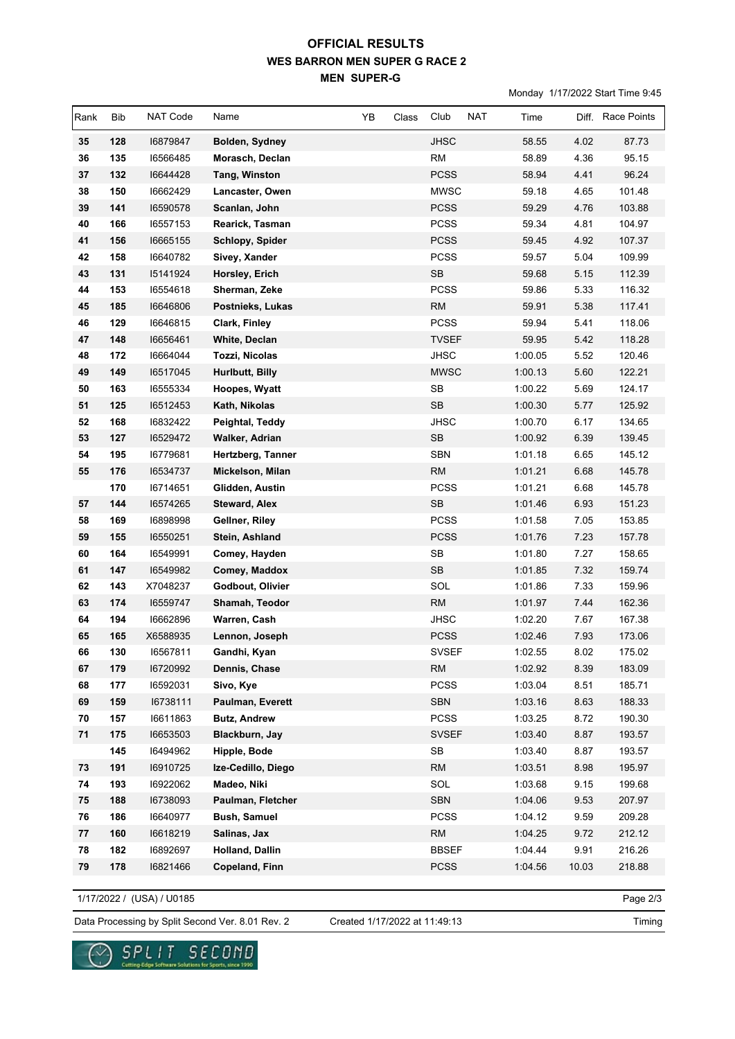# **WES BARRON MEN SUPER G RACE 2 MEN SUPER-G OFFICIAL RESULTS**

Monday 1/17/2022 Start Time 9:45

| Rank | Bib | NAT Code | Name                  | YB | Class | Club                 | <b>NAT</b> | Time    |       | Diff. Race Points |
|------|-----|----------|-----------------------|----|-------|----------------------|------------|---------|-------|-------------------|
| 35   | 128 | 16879847 | Bolden, Sydney        |    |       | <b>JHSC</b>          |            | 58.55   | 4.02  | 87.73             |
| 36   | 135 | 16566485 | Morasch, Declan       |    |       | <b>RM</b>            |            | 58.89   | 4.36  | 95.15             |
| 37   | 132 | 16644428 | Tang, Winston         |    |       | <b>PCSS</b>          |            | 58.94   | 4.41  | 96.24             |
| 38   | 150 | 16662429 | Lancaster, Owen       |    |       | <b>MWSC</b>          |            | 59.18   | 4.65  | 101.48            |
| 39   | 141 | 16590578 | Scanlan, John         |    |       | <b>PCSS</b>          |            | 59.29   | 4.76  | 103.88            |
| 40   | 166 | 16557153 | Rearick, Tasman       |    |       | <b>PCSS</b>          |            | 59.34   | 4.81  | 104.97            |
| 41   | 156 | 16665155 | Schlopy, Spider       |    |       | <b>PCSS</b>          |            | 59.45   | 4.92  | 107.37            |
| 42   | 158 | 16640782 | Sivey, Xander         |    |       | <b>PCSS</b>          |            | 59.57   | 5.04  | 109.99            |
| 43   | 131 | 15141924 | Horsley, Erich        |    |       | <b>SB</b>            |            | 59.68   | 5.15  | 112.39            |
| 44   | 153 | 16554618 | Sherman, Zeke         |    |       | <b>PCSS</b>          |            | 59.86   | 5.33  | 116.32            |
| 45   | 185 | 16646806 | Postnieks, Lukas      |    |       | <b>RM</b>            |            | 59.91   | 5.38  | 117.41            |
| 46   | 129 | 16646815 | Clark, Finley         |    |       | <b>PCSS</b>          |            | 59.94   | 5.41  | 118.06            |
| 47   | 148 | 16656461 | White, Declan         |    |       | <b>TVSEF</b>         |            | 59.95   | 5.42  | 118.28            |
| 48   | 172 | 16664044 | Tozzi, Nicolas        |    |       | JHSC                 |            | 1:00.05 | 5.52  | 120.46            |
| 49   | 149 | 16517045 | Hurlbutt, Billy       |    |       | <b>MWSC</b>          |            | 1:00.13 | 5.60  | 122.21            |
| 50   | 163 | 16555334 | Hoopes, Wyatt         |    |       | SB                   |            | 1:00.22 | 5.69  | 124.17            |
| 51   | 125 | 16512453 | Kath, Nikolas         |    |       | <b>SB</b>            |            | 1:00.30 | 5.77  | 125.92            |
| 52   | 168 | 16832422 | Peightal, Teddy       |    |       | <b>JHSC</b>          |            | 1:00.70 | 6.17  | 134.65            |
| 53   | 127 | 16529472 | Walker, Adrian        |    |       | <b>SB</b>            |            | 1:00.92 | 6.39  | 139.45            |
| 54   | 195 | 16779681 | Hertzberg, Tanner     |    |       | <b>SBN</b>           |            | 1:01.18 | 6.65  | 145.12            |
| 55   | 176 | 16534737 | Mickelson, Milan      |    |       | <b>RM</b>            |            | 1:01.21 | 6.68  | 145.78            |
|      | 170 | 16714651 | Glidden, Austin       |    |       | <b>PCSS</b>          |            | 1:01.21 | 6.68  | 145.78            |
| 57   | 144 | 16574265 | <b>Steward, Alex</b>  |    |       | <b>SB</b>            |            | 1:01.46 | 6.93  | 151.23            |
| 58   | 169 | 16898998 | Gellner, Riley        |    |       | <b>PCSS</b>          |            | 1:01.58 | 7.05  | 153.85            |
| 59   | 155 | 16550251 | Stein, Ashland        |    |       | <b>PCSS</b>          |            | 1:01.76 | 7.23  | 157.78            |
| 60   | 164 | 16549991 | Comey, Hayden         |    |       | SB                   |            | 1:01.80 | 7.27  | 158.65            |
| 61   | 147 | 16549982 | Comey, Maddox         |    |       | <b>SB</b>            |            | 1:01.85 | 7.32  | 159.74            |
| 62   | 143 | X7048237 | Godbout, Olivier      |    |       | SOL                  |            | 1:01.86 | 7.33  | 159.96            |
| 63   | 174 | 16559747 | Shamah, Teodor        |    |       | RM                   |            | 1:01.97 | 7.44  | 162.36            |
| 64   | 194 | 16662896 | Warren, Cash          |    |       | <b>JHSC</b>          |            | 1:02.20 | 7.67  | 167.38            |
| 65   | 165 | X6588935 | Lennon, Joseph        |    |       | <b>PCSS</b>          |            | 1:02.46 | 7.93  | 173.06            |
| 66   | 130 | 16567811 | Gandhi, Kyan          |    |       | <b>SVSEF</b>         |            | 1:02.55 | 8.02  | 175.02            |
| 67   | 179 | 16720992 | Dennis, Chase         |    |       | <b>RM</b>            |            | 1:02.92 | 8.39  | 183.09            |
| 68   | 177 | 16592031 | Sivo, Kye             |    |       | <b>PCSS</b>          |            | 1:03.04 | 8.51  | 185.71            |
| 69   | 159 | 16738111 | Paulman, Everett      |    |       | SBN                  |            | 1:03.16 | 8.63  | 188.33            |
| 70   | 157 | 16611863 | <b>Butz, Andrew</b>   |    |       | <b>PCSS</b>          |            | 1:03.25 | 8.72  | 190.30            |
| 71   | 175 | 16653503 | Blackburn, Jay        |    |       | <b>SVSEF</b>         |            | 1:03.40 | 8.87  | 193.57            |
|      | 145 | 16494962 | Hipple, Bode          |    |       | $\mathsf{SB}\xspace$ |            | 1:03.40 | 8.87  | 193.57            |
| 73   | 191 | 16910725 | Ize-Cedillo, Diego    |    |       | <b>RM</b>            |            | 1:03.51 | 8.98  | 195.97            |
| 74   | 193 | 16922062 | Madeo, Niki           |    |       | SOL                  |            | 1:03.68 | 9.15  | 199.68            |
| 75   | 188 | 16738093 | Paulman, Fletcher     |    |       | <b>SBN</b>           |            | 1:04.06 | 9.53  | 207.97            |
| 76   | 186 | 16640977 | <b>Bush, Samuel</b>   |    |       | <b>PCSS</b>          |            | 1:04.12 | 9.59  | 209.28            |
| 77   | 160 | 16618219 | Salinas, Jax          |    |       | <b>RM</b>            |            | 1:04.25 | 9.72  | 212.12            |
| 78   | 182 | 16892697 | Holland, Dallin       |    |       | <b>BBSEF</b>         |            | 1:04.44 | 9.91  | 216.26            |
| 79   | 178 | 16821466 | <b>Copeland, Finn</b> |    |       | <b>PCSS</b>          |            | 1:04.56 | 10.03 | 218.88            |

1/17/2022 / (USA) / U0185

୰

Page 2/3

Data Processing by Split Second Ver. 8.01 Rev. 2 Created 1/17/2022 at 11:49:13

 $\underset{\text{Cattering Edyo Sofours Schutens for Sports, since 1990}}{\text{S.P.L.}}\underset{\text{Cattering Edyo Sofours}}{\text{T.T.}}\underset{\text{Schutens for Sports, since 1990}}{\text{T.T.}}\underset{\text{CFT}}{\text{C.T.}}\underset{\text{CFT}}{\text{T.T.}}$ 

Created 1/17/2022 at 11:49:13